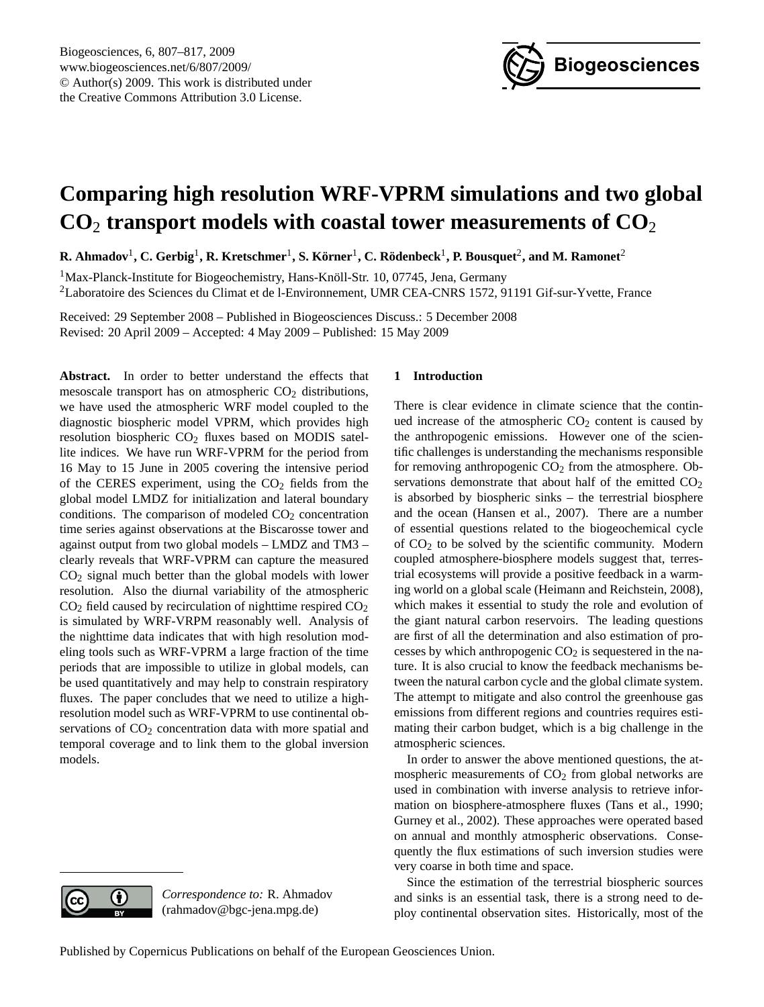

# <span id="page-0-0"></span>**Comparing high resolution WRF-VPRM simulations and two global CO**<sup>2</sup> **transport models with coastal tower measurements of CO**<sup>2</sup>

 ${\bf R}.$  Ahmadov $^1,$  C. Gerbig $^1,$  **R.** Kretschmer $^1,$  S. Körner $^1,$  C. Rödenbeck $^1,$  P. Bousquet $^2,$  and M. Ramonet $^2$ 

<sup>1</sup>Max-Planck-Institute for Biogeochemistry, Hans-Knöll-Str. 10, 07745, Jena, Germany <sup>2</sup>Laboratoire des Sciences du Climat et de l-Environnement, UMR CEA-CNRS 1572, 91191 Gif-sur-Yvette, France

Received: 29 September 2008 – Published in Biogeosciences Discuss.: 5 December 2008 Revised: 20 April 2009 – Accepted: 4 May 2009 – Published: 15 May 2009

**Abstract.** In order to better understand the effects that mesoscale transport has on atmospheric  $CO<sub>2</sub>$  distributions, we have used the atmospheric WRF model coupled to the diagnostic biospheric model VPRM, which provides high resolution biospheric  $CO<sub>2</sub>$  fluxes based on MODIS satellite indices. We have run WRF-VPRM for the period from 16 May to 15 June in 2005 covering the intensive period of the CERES experiment, using the  $CO<sub>2</sub>$  fields from the global model LMDZ for initialization and lateral boundary conditions. The comparison of modeled  $CO<sub>2</sub>$  concentration time series against observations at the Biscarosse tower and against output from two global models – LMDZ and TM3 – clearly reveals that WRF-VPRM can capture the measured CO<sup>2</sup> signal much better than the global models with lower resolution. Also the diurnal variability of the atmospheric  $CO<sub>2</sub>$  field caused by recirculation of nighttime respired  $CO<sub>2</sub>$ is simulated by WRF-VRPM reasonably well. Analysis of the nighttime data indicates that with high resolution modeling tools such as WRF-VPRM a large fraction of the time periods that are impossible to utilize in global models, can be used quantitatively and may help to constrain respiratory fluxes. The paper concludes that we need to utilize a highresolution model such as WRF-VPRM to use continental observations of  $CO<sub>2</sub>$  concentration data with more spatial and temporal coverage and to link them to the global inversion models.

## **1 Introduction**

There is clear evidence in climate science that the continued increase of the atmospheric  $CO<sub>2</sub>$  content is caused by the anthropogenic emissions. However one of the scientific challenges is understanding the mechanisms responsible for removing anthropogenic  $CO<sub>2</sub>$  from the atmosphere. Observations demonstrate that about half of the emitted  $CO<sub>2</sub>$ is absorbed by biospheric sinks – the terrestrial biosphere and the ocean (Hansen et al., 2007). There are a number of essential questions related to the biogeochemical cycle of CO<sup>2</sup> to be solved by the scientific community. Modern coupled atmosphere-biosphere models suggest that, terrestrial ecosystems will provide a positive feedback in a warming world on a global scale (Heimann and Reichstein, 2008), which makes it essential to study the role and evolution of the giant natural carbon reservoirs. The leading questions are first of all the determination and also estimation of processes by which anthropogenic  $CO<sub>2</sub>$  is sequestered in the nature. It is also crucial to know the feedback mechanisms between the natural carbon cycle and the global climate system. The attempt to mitigate and also control the greenhouse gas emissions from different regions and countries requires estimating their carbon budget, which is a big challenge in the atmospheric sciences.

In order to answer the above mentioned questions, the atmospheric measurements of  $CO<sub>2</sub>$  from global networks are used in combination with inverse analysis to retrieve information on biosphere-atmosphere fluxes (Tans et al., 1990; Gurney et al., 2002). These approaches were operated based on annual and monthly atmospheric observations. Consequently the flux estimations of such inversion studies were very coarse in both time and space.

Since the estimation of the terrestrial biospheric sources and sinks is an essential task, there is a strong need to deploy continental observation sites. Historically, most of the



*Correspondence to:* R. Ahmadov (rahmadov@bgc-jena.mpg.de)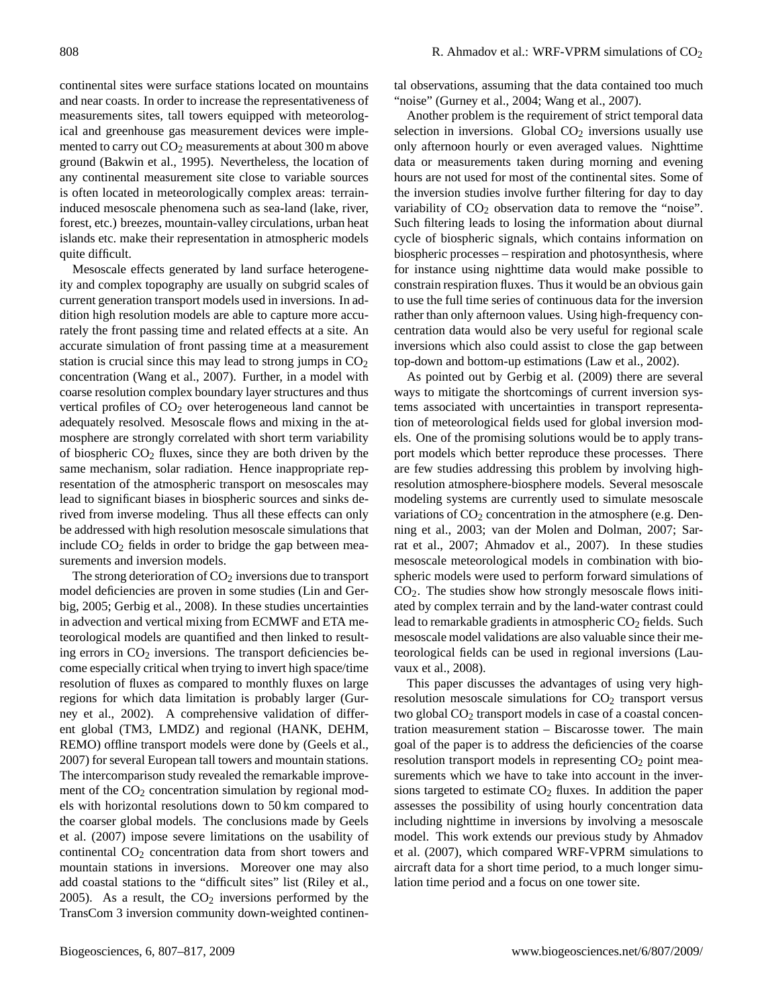continental sites were surface stations located on mountains and near coasts. In order to increase the representativeness of measurements sites, tall towers equipped with meteorological and greenhouse gas measurement devices were implemented to carry out  $CO<sub>2</sub>$  measurements at about 300 m above ground (Bakwin et al., 1995). Nevertheless, the location of any continental measurement site close to variable sources is often located in meteorologically complex areas: terraininduced mesoscale phenomena such as sea-land (lake, river, forest, etc.) breezes, mountain-valley circulations, urban heat islands etc. make their representation in atmospheric models quite difficult.

Mesoscale effects generated by land surface heterogeneity and complex topography are usually on subgrid scales of current generation transport models used in inversions. In addition high resolution models are able to capture more accurately the front passing time and related effects at a site. An accurate simulation of front passing time at a measurement station is crucial since this may lead to strong jumps in  $CO<sub>2</sub>$ concentration (Wang et al., 2007). Further, in a model with coarse resolution complex boundary layer structures and thus vertical profiles of CO<sub>2</sub> over heterogeneous land cannot be adequately resolved. Mesoscale flows and mixing in the atmosphere are strongly correlated with short term variability of biospheric  $CO<sub>2</sub>$  fluxes, since they are both driven by the same mechanism, solar radiation. Hence inappropriate representation of the atmospheric transport on mesoscales may lead to significant biases in biospheric sources and sinks derived from inverse modeling. Thus all these effects can only be addressed with high resolution mesoscale simulations that include  $CO<sub>2</sub>$  fields in order to bridge the gap between measurements and inversion models.

The strong deterioration of  $CO<sub>2</sub>$  inversions due to transport model deficiencies are proven in some studies (Lin and Gerbig, 2005; Gerbig et al., 2008). In these studies uncertainties in advection and vertical mixing from ECMWF and ETA meteorological models are quantified and then linked to resulting errors in  $CO<sub>2</sub>$  inversions. The transport deficiencies become especially critical when trying to invert high space/time resolution of fluxes as compared to monthly fluxes on large regions for which data limitation is probably larger (Gurney et al., 2002). A comprehensive validation of different global (TM3, LMDZ) and regional (HANK, DEHM, REMO) offline transport models were done by (Geels et al., 2007) for several European tall towers and mountain stations. The intercomparison study revealed the remarkable improvement of the  $CO<sub>2</sub>$  concentration simulation by regional models with horizontal resolutions down to 50 km compared to the coarser global models. The conclusions made by Geels et al. (2007) impose severe limitations on the usability of continental  $CO<sub>2</sub>$  concentration data from short towers and mountain stations in inversions. Moreover one may also add coastal stations to the "difficult sites" list (Riley et al., 2005). As a result, the  $CO<sub>2</sub>$  inversions performed by the TransCom 3 inversion community down-weighted continental observations, assuming that the data contained too much "noise" (Gurney et al., 2004; Wang et al., 2007).

Another problem is the requirement of strict temporal data selection in inversions. Global  $CO<sub>2</sub>$  inversions usually use only afternoon hourly or even averaged values. Nighttime data or measurements taken during morning and evening hours are not used for most of the continental sites. Some of the inversion studies involve further filtering for day to day variability of  $CO<sub>2</sub>$  observation data to remove the "noise". Such filtering leads to losing the information about diurnal cycle of biospheric signals, which contains information on biospheric processes – respiration and photosynthesis, where for instance using nighttime data would make possible to constrain respiration fluxes. Thus it would be an obvious gain to use the full time series of continuous data for the inversion rather than only afternoon values. Using high-frequency concentration data would also be very useful for regional scale inversions which also could assist to close the gap between top-down and bottom-up estimations (Law et al., 2002).

As pointed out by Gerbig et al. (2009) there are several ways to mitigate the shortcomings of current inversion systems associated with uncertainties in transport representation of meteorological fields used for global inversion models. One of the promising solutions would be to apply transport models which better reproduce these processes. There are few studies addressing this problem by involving highresolution atmosphere-biosphere models. Several mesoscale modeling systems are currently used to simulate mesoscale variations of  $CO<sub>2</sub>$  concentration in the atmosphere (e.g. Denning et al., 2003; van der Molen and Dolman, 2007; Sarrat et al., 2007; Ahmadov et al., 2007). In these studies mesoscale meteorological models in combination with biospheric models were used to perform forward simulations of CO2. The studies show how strongly mesoscale flows initiated by complex terrain and by the land-water contrast could lead to remarkable gradients in atmospheric  $CO<sub>2</sub>$  fields. Such mesoscale model validations are also valuable since their meteorological fields can be used in regional inversions (Lauvaux et al., 2008).

This paper discusses the advantages of using very highresolution mesoscale simulations for  $CO<sub>2</sub>$  transport versus two global  $CO<sub>2</sub>$  transport models in case of a coastal concentration measurement station – Biscarosse tower. The main goal of the paper is to address the deficiencies of the coarse resolution transport models in representing  $CO<sub>2</sub>$  point measurements which we have to take into account in the inversions targeted to estimate  $CO<sub>2</sub>$  fluxes. In addition the paper assesses the possibility of using hourly concentration data including nighttime in inversions by involving a mesoscale model. This work extends our previous study by Ahmadov et al. (2007), which compared WRF-VPRM simulations to aircraft data for a short time period, to a much longer simulation time period and a focus on one tower site.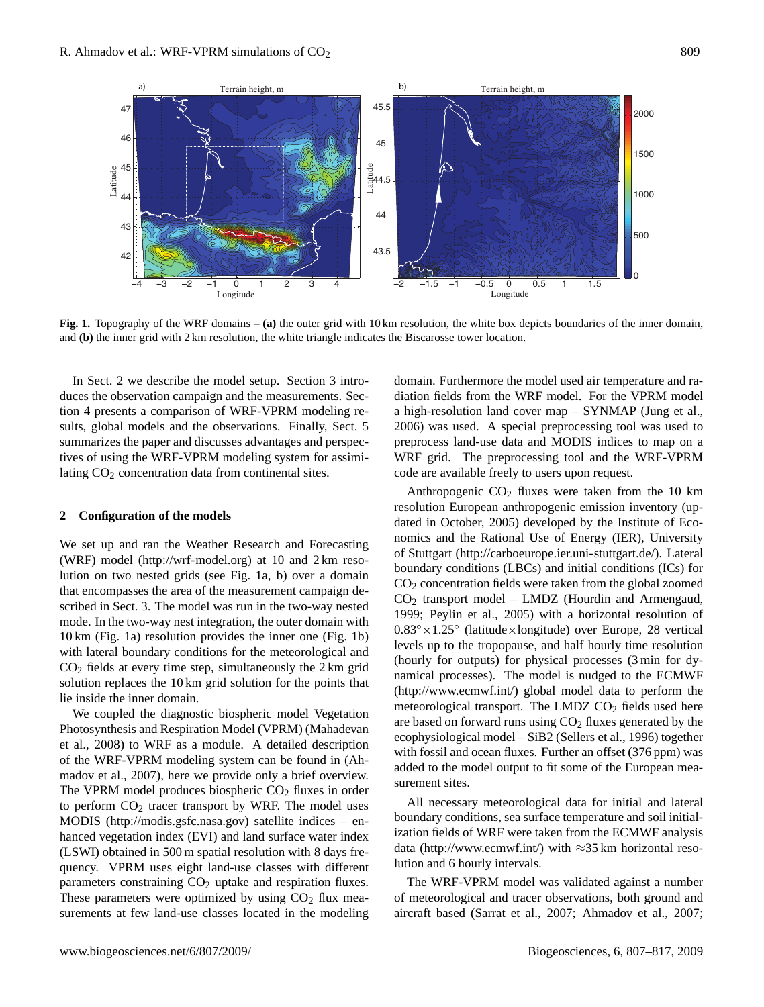

**Fig. 1.** Topography of the WRF domains – **(a)** the outer grid with 10 km resolution, the white box depicts boundaries of the inner domain, and **(b)** the inner grid with 2 km resolution, the white triangle indicates the Biscarosse tower location.

In Sect. 2 we describe the model setup. Section 3 introduces the observation campaign and the measurements. Section 4 presents a comparison of WRF-VPRM modeling results, global models and the observations. Finally, Sect. 5 summarizes the paper and discusses advantages and perspectives of using the WRF-VPRM modeling system for assimilating CO<sub>2</sub> concentration data from continental sites.

#### **2 Configuration of the models**

We set up and ran the Weather Research and Forecasting (WRF) model [\(http://wrf-model.org\)](http://wrf-model.org) at 10 and 2 km resolution on two nested grids (see Fig. 1a, b) over a domain that encompasses the area of the measurement campaign described in Sect. 3. The model was run in the two-way nested mode. In the two-way nest integration, the outer domain with 10 km (Fig. 1a) resolution provides the inner one (Fig. 1b) with lateral boundary conditions for the meteorological and  $CO<sub>2</sub>$  fields at every time step, simultaneously the 2 km grid solution replaces the 10 km grid solution for the points that lie inside the inner domain.

We coupled the diagnostic biospheric model Vegetation Photosynthesis and Respiration Model (VPRM) (Mahadevan et al., 2008) to WRF as a module. A detailed description of the WRF-VPRM modeling system can be found in (Ahmadov et al., 2007), here we provide only a brief overview. The VPRM model produces biospheric  $CO<sub>2</sub>$  fluxes in order to perform  $CO<sub>2</sub>$  tracer transport by WRF. The model uses MODIS [\(http://modis.gsfc.nasa.gov\)](http://modis.gsfc.nasa.gov) satellite indices – enhanced vegetation index (EVI) and land surface water index (LSWI) obtained in 500 m spatial resolution with 8 days frequency. VPRM uses eight land-use classes with different parameters constraining  $CO<sub>2</sub>$  uptake and respiration fluxes. These parameters were optimized by using  $CO<sub>2</sub>$  flux measurements at few land-use classes located in the modeling

domain. Furthermore the model used air temperature and radiation fields from the WRF model. For the VPRM model a high-resolution land cover map – SYNMAP (Jung et al., 2006) was used. A special preprocessing tool was used to preprocess land-use data and MODIS indices to map on a WRF grid. The preprocessing tool and the WRF-VPRM code are available freely to users upon request.

Anthropogenic  $CO<sub>2</sub>$  fluxes were taken from the 10 km resolution European anthropogenic emission inventory (updated in October, 2005) developed by the Institute of Economics and the Rational Use of Energy (IER), University of Stuttgart [\(http://carboeurope.ier.uni-stuttgart.de/\)](http://carboeurope.ier.uni-stuttgart.de/). Lateral boundary conditions (LBCs) and initial conditions (ICs) for  $CO<sub>2</sub>$  concentration fields were taken from the global zoomed CO<sup>2</sup> transport model – LMDZ (Hourdin and Armengaud, 1999; Peylin et al., 2005) with a horizontal resolution of 0.83◦×1.25◦ (latitude×longitude) over Europe, 28 vertical levels up to the tropopause, and half hourly time resolution (hourly for outputs) for physical processes (3 min for dynamical processes). The model is nudged to the ECMWF [\(http://www.ecmwf.int/\)](http://www.ecmwf.int/) global model data to perform the meteorological transport. The LMDZ  $CO<sub>2</sub>$  fields used here are based on forward runs using  $CO<sub>2</sub>$  fluxes generated by the ecophysiological model – SiB2 (Sellers et al., 1996) together with fossil and ocean fluxes. Further an offset (376 ppm) was added to the model output to fit some of the European measurement sites.

All necessary meteorological data for initial and lateral boundary conditions, sea surface temperature and soil initialization fields of WRF were taken from the ECMWF analysis data [\(http://www.ecmwf.int/\)](http://www.ecmwf.int/) with  $\approx$ 35 km horizontal resolution and 6 hourly intervals.

The WRF-VPRM model was validated against a number of meteorological and tracer observations, both ground and aircraft based (Sarrat et al., 2007; Ahmadov et al., 2007;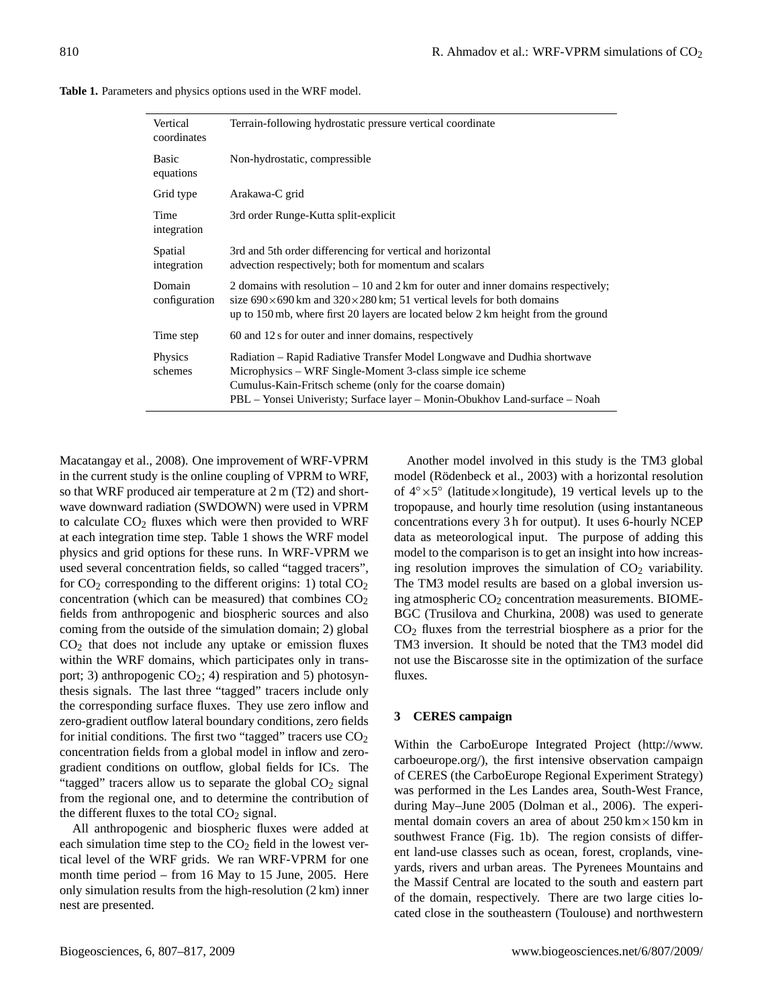| Vertical<br>coordinates | Terrain-following hydrostatic pressure vertical coordinate                                                                                                                                                                                                                       |  |  |  |
|-------------------------|----------------------------------------------------------------------------------------------------------------------------------------------------------------------------------------------------------------------------------------------------------------------------------|--|--|--|
| Basic<br>equations      | Non-hydrostatic, compressible                                                                                                                                                                                                                                                    |  |  |  |
| Grid type               | Arakawa-C grid                                                                                                                                                                                                                                                                   |  |  |  |
| Time<br>integration     | 3rd order Runge-Kutta split-explicit                                                                                                                                                                                                                                             |  |  |  |
| Spatial<br>integration  | 3rd and 5th order differencing for vertical and horizontal<br>advection respectively; both for momentum and scalars                                                                                                                                                              |  |  |  |
| Domain<br>configuration | 2 domains with resolution $-10$ and $2 \text{ km}$ for outer and inner domains respectively;<br>size $690 \times 690$ km and $320 \times 280$ km; 51 vertical levels for both domains<br>up to 150 mb, where first 20 layers are located below 2 km height from the ground       |  |  |  |
| Time step               | 60 and 12 s for outer and inner domains, respectively                                                                                                                                                                                                                            |  |  |  |
| Physics<br>schemes      | Radiation – Rapid Radiative Transfer Model Longwave and Dudhia shortwave<br>Microphysics – WRF Single-Moment 3-class simple ice scheme<br>Cumulus-Kain-Fritsch scheme (only for the coarse domain)<br>PBL – Yonsei Univeristy; Surface layer – Monin-Obukhov Land-surface – Noah |  |  |  |

**Table 1.** Parameters and physics options used in the WRF model.

Macatangay et al., 2008). One improvement of WRF-VPRM in the current study is the online coupling of VPRM to WRF, so that WRF produced air temperature at 2 m (T2) and shortwave downward radiation (SWDOWN) were used in VPRM to calculate  $CO<sub>2</sub>$  fluxes which were then provided to WRF at each integration time step. Table 1 shows the WRF model physics and grid options for these runs. In WRF-VPRM we used several concentration fields, so called "tagged tracers", for  $CO_2$  corresponding to the different origins: 1) total  $CO_2$ concentration (which can be measured) that combines  $CO<sub>2</sub>$ fields from anthropogenic and biospheric sources and also coming from the outside of the simulation domain; 2) global  $CO<sub>2</sub>$  that does not include any uptake or emission fluxes within the WRF domains, which participates only in transport; 3) anthropogenic  $CO_2$ ; 4) respiration and 5) photosynthesis signals. The last three "tagged" tracers include only the corresponding surface fluxes. They use zero inflow and zero-gradient outflow lateral boundary conditions, zero fields for initial conditions. The first two "tagged" tracers use  $CO<sub>2</sub>$ concentration fields from a global model in inflow and zerogradient conditions on outflow, global fields for ICs. The "tagged" tracers allow us to separate the global  $CO<sub>2</sub>$  signal from the regional one, and to determine the contribution of the different fluxes to the total  $CO<sub>2</sub>$  signal.

All anthropogenic and biospheric fluxes were added at each simulation time step to the  $CO<sub>2</sub>$  field in the lowest vertical level of the WRF grids. We ran WRF-VPRM for one month time period – from 16 May to 15 June, 2005. Here only simulation results from the high-resolution (2 km) inner nest are presented.

Another model involved in this study is the TM3 global model (Rödenbeck et al., 2003) with a horizontal resolution of 4◦×5 ◦ (latitude×longitude), 19 vertical levels up to the tropopause, and hourly time resolution (using instantaneous concentrations every 3 h for output). It uses 6-hourly NCEP data as meteorological input. The purpose of adding this model to the comparison is to get an insight into how increasing resolution improves the simulation of  $CO<sub>2</sub>$  variability. The TM3 model results are based on a global inversion using atmospheric  $CO<sub>2</sub>$  concentration measurements. BIOME-BGC (Trusilova and Churkina, 2008) was used to generate  $CO<sub>2</sub>$  fluxes from the terrestrial biosphere as a prior for the TM3 inversion. It should be noted that the TM3 model did not use the Biscarosse site in the optimization of the surface fluxes.

# **3 CERES campaign**

Within the CarboEurope Integrated Project [\(http://www.](http://www.carboeurope.org/) [carboeurope.org/\)](http://www.carboeurope.org/), the first intensive observation campaign of CERES (the CarboEurope Regional Experiment Strategy) was performed in the Les Landes area, South-West France, during May–June 2005 (Dolman et al., 2006). The experimental domain covers an area of about  $250 \text{ km} \times 150 \text{ km}$  in southwest France (Fig. 1b). The region consists of different land-use classes such as ocean, forest, croplands, vineyards, rivers and urban areas. The Pyrenees Mountains and the Massif Central are located to the south and eastern part of the domain, respectively. There are two large cities located close in the southeastern (Toulouse) and northwestern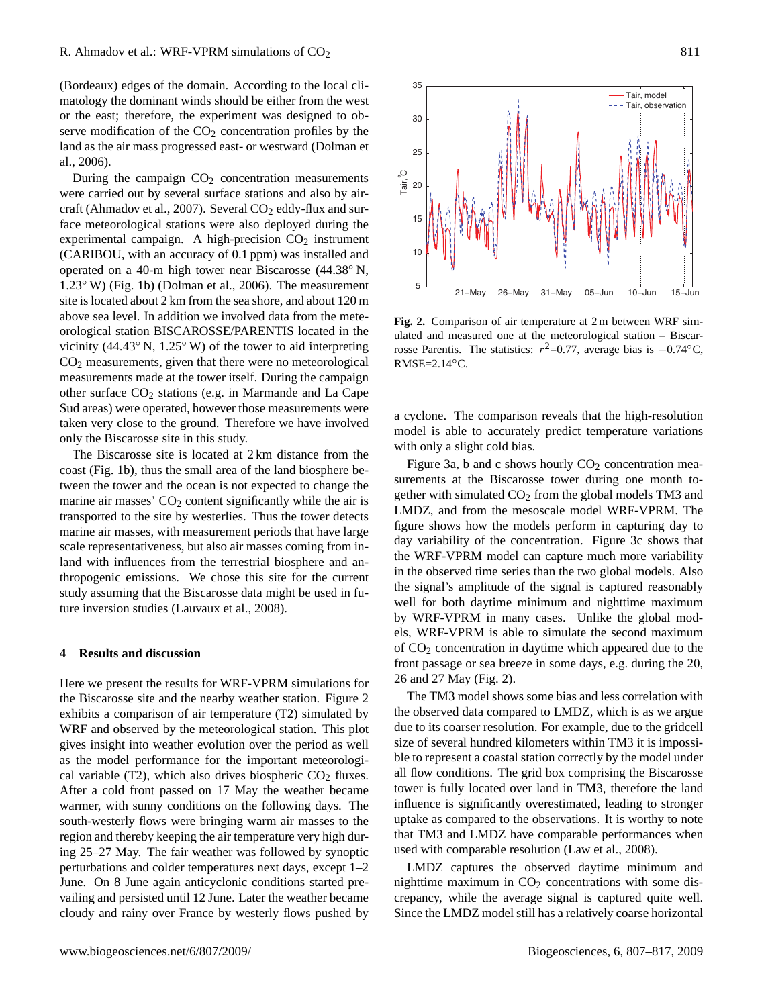(Bordeaux) edges of the domain. According to the local climatology the dominant winds should be either from the west or the east; therefore, the experiment was designed to observe modification of the  $CO<sub>2</sub>$  concentration profiles by the land as the air mass progressed east- or westward (Dolman et al., 2006).

During the campaign  $CO<sub>2</sub>$  concentration measurements were carried out by several surface stations and also by aircraft (Ahmadov et al., 2007). Several  $CO<sub>2</sub>$  eddy-flux and surface meteorological stations were also deployed during the experimental campaign. A high-precision  $CO<sub>2</sub>$  instrument (CARIBOU, with an accuracy of 0.1 ppm) was installed and operated on a 40-m high tower near Biscarosse (44.38◦ N, 1.23◦ W) (Fig. 1b) (Dolman et al., 2006). The measurement site is located about 2 km from the sea shore, and about 120 m above sea level. In addition we involved data from the meteorological station BISCAROSSE/PARENTIS located in the vicinity (44.43◦ N, 1.25◦ W) of the tower to aid interpreting CO<sup>2</sup> measurements, given that there were no meteorological measurements made at the tower itself. During the campaign other surface CO<sup>2</sup> stations (e.g. in Marmande and La Cape Sud areas) were operated, however those measurements were taken very close to the ground. Therefore we have involved only the Biscarosse site in this study.

The Biscarosse site is located at 2 km distance from the coast (Fig. 1b), thus the small area of the land biosphere between the tower and the ocean is not expected to change the marine air masses'  $CO<sub>2</sub>$  content significantly while the air is transported to the site by westerlies. Thus the tower detects marine air masses, with measurement periods that have large scale representativeness, but also air masses coming from inland with influences from the terrestrial biosphere and anthropogenic emissions. We chose this site for the current study assuming that the Biscarosse data might be used in future inversion studies (Lauvaux et al., 2008).

#### **4 Results and discussion**

Here we present the results for WRF-VPRM simulations for the Biscarosse site and the nearby weather station. Figure 2 exhibits a comparison of air temperature (T2) simulated by WRF and observed by the meteorological station. This plot gives insight into weather evolution over the period as well as the model performance for the important meteorological variable (T2), which also drives biospheric  $CO<sub>2</sub>$  fluxes. After a cold front passed on 17 May the weather became warmer, with sunny conditions on the following days. The south-westerly flows were bringing warm air masses to the region and thereby keeping the air temperature very high during 25–27 May. The fair weather was followed by synoptic perturbations and colder temperatures next days, except 1–2 June. On 8 June again anticyclonic conditions started prevailing and persisted until 12 June. Later the weather became cloudy and rainy over France by westerly flows pushed by



**Fig. 2.** Comparison of air temperature at 2 m between WRF simulated and measured one at the meteorological station – Biscarrosse Parentis. The statistics:  $r^2 = 0.77$ , average bias is  $-0.74°C$ , RMSE=2.14◦C.

a cyclone. The comparison reveals that the high-resolution model is able to accurately predict temperature variations with only a slight cold bias.

Figure 3a, b and c shows hourly  $CO<sub>2</sub>$  concentration measurements at the Biscarosse tower during one month together with simulated  $CO<sub>2</sub>$  from the global models TM3 and LMDZ, and from the mesoscale model WRF-VPRM. The figure shows how the models perform in capturing day to day variability of the concentration. Figure 3c shows that the WRF-VPRM model can capture much more variability in the observed time series than the two global models. Also the signal's amplitude of the signal is captured reasonably well for both daytime minimum and nighttime maximum by WRF-VPRM in many cases. Unlike the global models, WRF-VPRM is able to simulate the second maximum of CO<sup>2</sup> concentration in daytime which appeared due to the front passage or sea breeze in some days, e.g. during the 20, 26 and 27 May (Fig. 2).

The TM3 model shows some bias and less correlation with the observed data compared to LMDZ, which is as we argue due to its coarser resolution. For example, due to the gridcell size of several hundred kilometers within TM3 it is impossible to represent a coastal station correctly by the model under all flow conditions. The grid box comprising the Biscarosse tower is fully located over land in TM3, therefore the land influence is significantly overestimated, leading to stronger uptake as compared to the observations. It is worthy to note that TM3 and LMDZ have comparable performances when used with comparable resolution (Law et al., 2008).

LMDZ captures the observed daytime minimum and nighttime maximum in  $CO<sub>2</sub>$  concentrations with some discrepancy, while the average signal is captured quite well. Since the LMDZ model still has a relatively coarse horizontal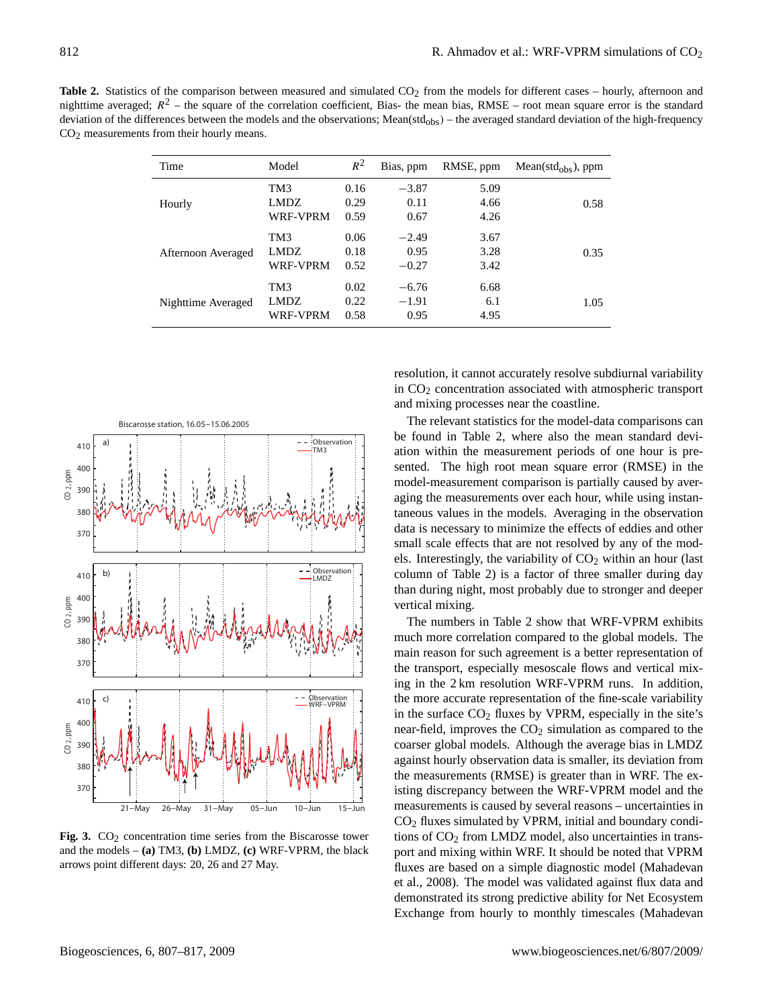| <b>Table 2.</b> Statistics of the comparison between measured and simulated $CO2$ from the models for different cases – hourly, afternoon and     |
|---------------------------------------------------------------------------------------------------------------------------------------------------|
| nighttime averaged; $R^2$ – the square of the correlation coefficient, Bias- the mean bias, RMSE – root mean square error is the standard         |
| deviation of the differences between the models and the observations; Mean( $std_{obs}$ ) – the averaged standard deviation of the high-frequency |
| $CO2$ measurements from their hourly means.                                                                                                       |

| Time               | Model                                 | $R^2$                | Bias, ppm                  | RMSE, ppm            | $Mean(std_{obs})$ , ppm |
|--------------------|---------------------------------------|----------------------|----------------------------|----------------------|-------------------------|
| Hourly             | TM3<br><b>LMDZ</b><br>WRF-VPRM        | 0.16<br>0.29<br>0.59 | $-3.87$<br>0.11<br>0.67    | 5.09<br>4.66<br>4.26 | 0.58                    |
| Afternoon Averaged | TM3<br>LMDZ.<br><b>WRF-VPRM</b>       | 0.06<br>0.18<br>0.52 | $-2.49$<br>0.95<br>$-0.27$ | 3.67<br>3.28<br>3.42 | 0.35                    |
| Nighttime Averaged | TM3<br><b>LMDZ</b><br><b>WRF-VPRM</b> | 0.02<br>0.22<br>0.58 | $-6.76$<br>$-1.91$<br>0.95 | 6.68<br>6.1<br>4.95  | 1.05                    |



Fig. 3.  $CO<sub>2</sub>$  concentration time series from the Biscarosse tower and the models – **(a)** TM3, **(b)** LMDZ, **(c)** WRF-VPRM, the black arrows point different days: 20, 26 and 27 May.

resolution, it cannot accurately resolve subdiurnal variability in CO<sup>2</sup> concentration associated with atmospheric transport and mixing processes near the coastline.

The relevant statistics for the model-data comparisons can be found in Table 2, where also the mean standard deviation within the measurement periods of one hour is presented. The high root mean square error (RMSE) in the model-measurement comparison is partially caused by averaging the measurements over each hour, while using instantaneous values in the models. Averaging in the observation data is necessary to minimize the effects of eddies and other small scale effects that are not resolved by any of the models. Interestingly, the variability of  $CO<sub>2</sub>$  within an hour (last column of Table 2) is a factor of three smaller during day than during night, most probably due to stronger and deeper vertical mixing.

The numbers in Table 2 show that WRF-VPRM exhibits much more correlation compared to the global models. The main reason for such agreement is a better representation of the transport, especially mesoscale flows and vertical mixing in the 2 km resolution WRF-VPRM runs. In addition, the more accurate representation of the fine-scale variability in the surface  $CO<sub>2</sub>$  fluxes by VPRM, especially in the site's near-field, improves the  $CO<sub>2</sub>$  simulation as compared to the coarser global models. Although the average bias in LMDZ against hourly observation data is smaller, its deviation from the measurements (RMSE) is greater than in WRF. The existing discrepancy between the WRF-VPRM model and the measurements is caused by several reasons – uncertainties in CO<sup>2</sup> fluxes simulated by VPRM, initial and boundary conditions of  $CO<sub>2</sub>$  from LMDZ model, also uncertainties in transport and mixing within WRF. It should be noted that VPRM fluxes are based on a simple diagnostic model (Mahadevan et al., 2008). The model was validated against flux data and demonstrated its strong predictive ability for Net Ecosystem Exchange from hourly to monthly timescales (Mahadevan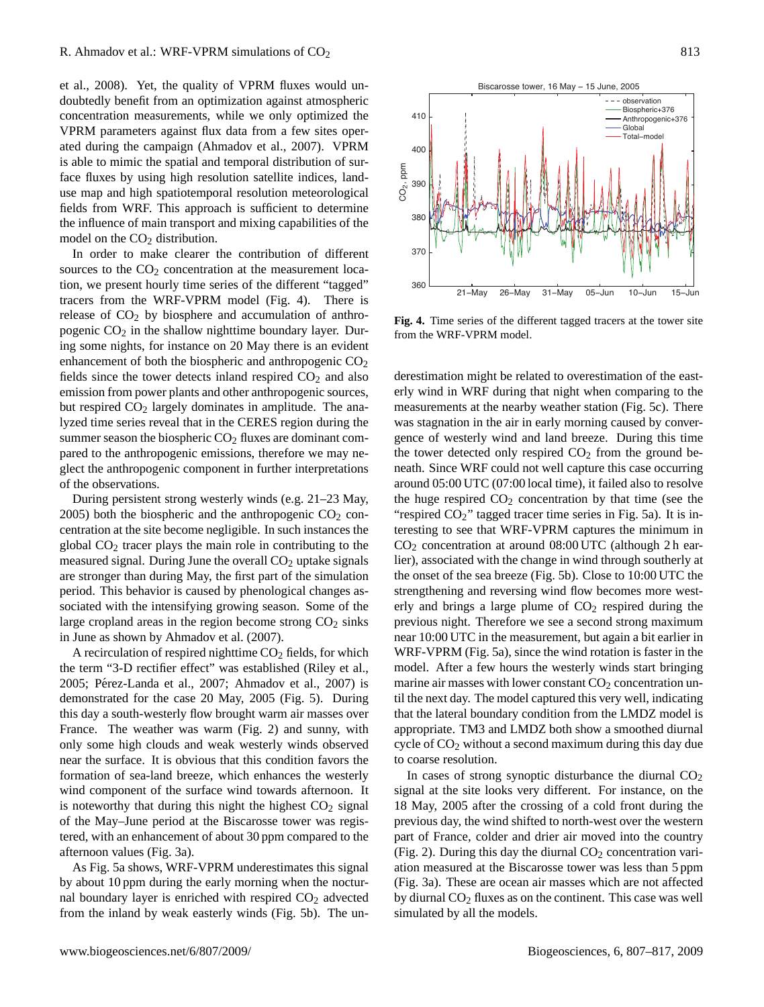et al., 2008). Yet, the quality of VPRM fluxes would undoubtedly benefit from an optimization against atmospheric concentration measurements, while we only optimized the VPRM parameters against flux data from a few sites operated during the campaign (Ahmadov et al., 2007). VPRM is able to mimic the spatial and temporal distribution of surface fluxes by using high resolution satellite indices, landuse map and high spatiotemporal resolution meteorological fields from WRF. This approach is sufficient to determine the influence of main transport and mixing capabilities of the model on the  $CO<sub>2</sub>$  distribution.

In order to make clearer the contribution of different sources to the  $CO<sub>2</sub>$  concentration at the measurement location, we present hourly time series of the different "tagged" tracers from the WRF-VPRM model (Fig. 4). There is release of  $CO<sub>2</sub>$  by biosphere and accumulation of anthropogenic  $CO<sub>2</sub>$  in the shallow nighttime boundary layer. During some nights, for instance on 20 May there is an evident enhancement of both the biospheric and anthropogenic  $CO<sub>2</sub>$ fields since the tower detects inland respired  $CO<sub>2</sub>$  and also emission from power plants and other anthropogenic sources, but respired  $CO<sub>2</sub>$  largely dominates in amplitude. The analyzed time series reveal that in the CERES region during the summer season the biospheric  $CO<sub>2</sub>$  fluxes are dominant compared to the anthropogenic emissions, therefore we may neglect the anthropogenic component in further interpretations of the observations.

During persistent strong westerly winds (e.g. 21–23 May, 2005) both the biospheric and the anthropogenic  $CO<sub>2</sub>$  concentration at the site become negligible. In such instances the global  $CO<sub>2</sub>$  tracer plays the main role in contributing to the measured signal. During June the overall  $CO<sub>2</sub>$  uptake signals are stronger than during May, the first part of the simulation period. This behavior is caused by phenological changes associated with the intensifying growing season. Some of the large cropland areas in the region become strong  $CO<sub>2</sub>$  sinks in June as shown by Ahmadov et al. (2007).

A recirculation of respired nighttime  $CO<sub>2</sub>$  fields, for which the term "3-D rectifier effect" was established (Riley et al., 2005; Pérez-Landa et al., 2007; Ahmadov et al., 2007) is demonstrated for the case 20 May, 2005 (Fig. 5). During this day a south-westerly flow brought warm air masses over France. The weather was warm (Fig. 2) and sunny, with only some high clouds and weak westerly winds observed near the surface. It is obvious that this condition favors the formation of sea-land breeze, which enhances the westerly wind component of the surface wind towards afternoon. It is noteworthy that during this night the highest  $CO<sub>2</sub>$  signal of the May–June period at the Biscarosse tower was registered, with an enhancement of about 30 ppm compared to the afternoon values (Fig. 3a).

As Fig. 5a shows, WRF-VPRM underestimates this signal by about 10 ppm during the early morning when the nocturnal boundary layer is enriched with respired  $CO<sub>2</sub>$  advected from the inland by weak easterly winds (Fig. 5b). The un-



**Fig. 4.** Time series of the different tagged tracers at the tower site from the WRF-VPRM model.

derestimation might be related to overestimation of the easterly wind in WRF during that night when comparing to the measurements at the nearby weather station (Fig. 5c). There was stagnation in the air in early morning caused by convergence of westerly wind and land breeze. During this time the tower detected only respired  $CO<sub>2</sub>$  from the ground beneath. Since WRF could not well capture this case occurring around 05:00 UTC (07:00 local time), it failed also to resolve the huge respired  $CO<sub>2</sub>$  concentration by that time (see the "respired  $CO<sub>2</sub>$ " tagged tracer time series in Fig. 5a). It is interesting to see that WRF-VPRM captures the minimum in CO<sup>2</sup> concentration at around 08:00 UTC (although 2 h earlier), associated with the change in wind through southerly at the onset of the sea breeze (Fig. 5b). Close to 10:00 UTC the strengthening and reversing wind flow becomes more westerly and brings a large plume of  $CO<sub>2</sub>$  respired during the previous night. Therefore we see a second strong maximum near 10:00 UTC in the measurement, but again a bit earlier in WRF-VPRM (Fig. 5a), since the wind rotation is faster in the model. After a few hours the westerly winds start bringing marine air masses with lower constant  $CO<sub>2</sub>$  concentration until the next day. The model captured this very well, indicating that the lateral boundary condition from the LMDZ model is appropriate. TM3 and LMDZ both show a smoothed diurnal cycle of  $CO<sub>2</sub>$  without a second maximum during this day due to coarse resolution.

In cases of strong synoptic disturbance the diurnal  $CO<sub>2</sub>$ signal at the site looks very different. For instance, on the 18 May, 2005 after the crossing of a cold front during the previous day, the wind shifted to north-west over the western part of France, colder and drier air moved into the country (Fig. 2). During this day the diurnal  $CO<sub>2</sub>$  concentration variation measured at the Biscarosse tower was less than 5 ppm (Fig. 3a). These are ocean air masses which are not affected by diurnal  $CO<sub>2</sub>$  fluxes as on the continent. This case was well simulated by all the models.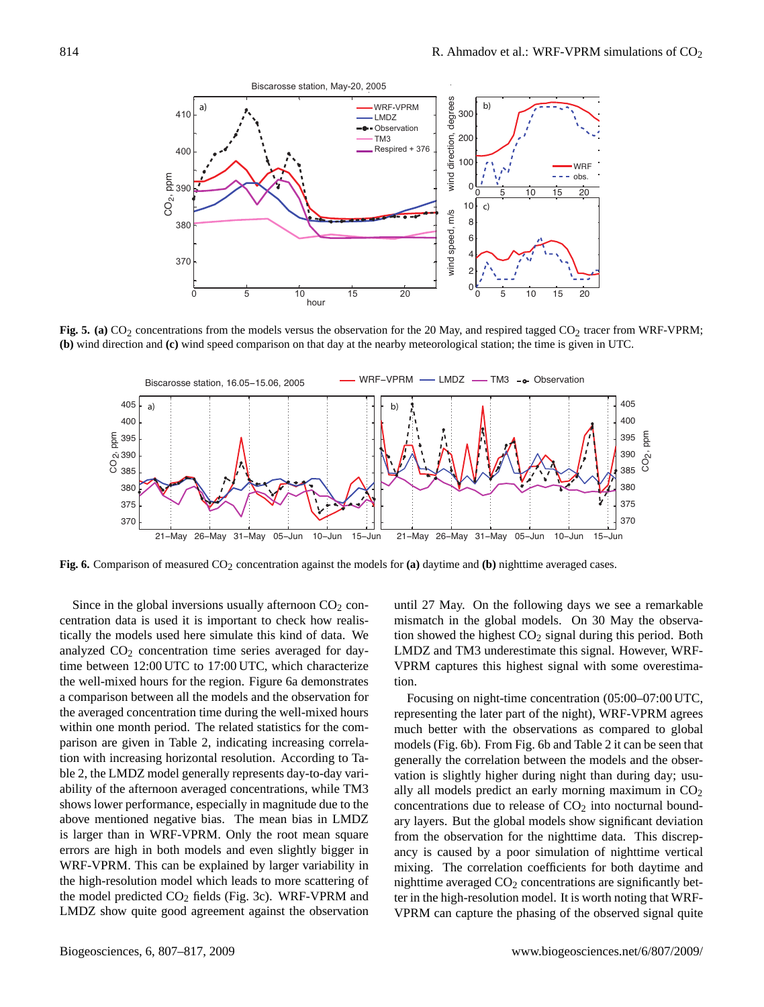

**Fig. 5. (a)**  $CO_2$  concentrations from the models versus the observation for the 20 May, and respired tagged  $CO_2$  tracer from WRF-VPRM; **(b)** wind direction and **(c)** wind speed comparison on that day at the nearby meteorological station; the time is given in UTC.



**Fig. 6.** Comparison of measured CO2 concentration against the models for **(a)** daytime and **(b)** nighttime averaged cases.

Since in the global inversions usually afternoon  $CO<sub>2</sub>$  concentration data is used it is important to check how realistically the models used here simulate this kind of data. We analyzed  $CO<sub>2</sub>$  concentration time series averaged for daytime between 12:00 UTC to 17:00 UTC, which characterize the well-mixed hours for the region. Figure 6a demonstrates a comparison between all the models and the observation for the averaged concentration time during the well-mixed hours within one month period. The related statistics for the comparison are given in Table 2, indicating increasing correlation with increasing horizontal resolution. According to Table 2, the LMDZ model generally represents day-to-day variability of the afternoon averaged concentrations, while TM3 shows lower performance, especially in magnitude due to the above mentioned negative bias. The mean bias in LMDZ is larger than in WRF-VPRM. Only the root mean square errors are high in both models and even slightly bigger in WRF-VPRM. This can be explained by larger variability in the high-resolution model which leads to more scattering of the model predicted  $CO<sub>2</sub>$  fields (Fig. 3c). WRF-VPRM and LMDZ show quite good agreement against the observation until 27 May. On the following days we see a remarkable mismatch in the global models. On 30 May the observation showed the highest  $CO<sub>2</sub>$  signal during this period. Both LMDZ and TM3 underestimate this signal. However, WRF-VPRM captures this highest signal with some overestimation.

Focusing on night-time concentration (05:00–07:00 UTC, representing the later part of the night), WRF-VPRM agrees much better with the observations as compared to global models (Fig. 6b). From Fig. 6b and Table 2 it can be seen that generally the correlation between the models and the observation is slightly higher during night than during day; usually all models predict an early morning maximum in  $CO<sub>2</sub>$ concentrations due to release of  $CO<sub>2</sub>$  into nocturnal boundary layers. But the global models show significant deviation from the observation for the nighttime data. This discrepancy is caused by a poor simulation of nighttime vertical mixing. The correlation coefficients for both daytime and nighttime averaged  $CO<sub>2</sub>$  concentrations are significantly better in the high-resolution model. It is worth noting that WRF-VPRM can capture the phasing of the observed signal quite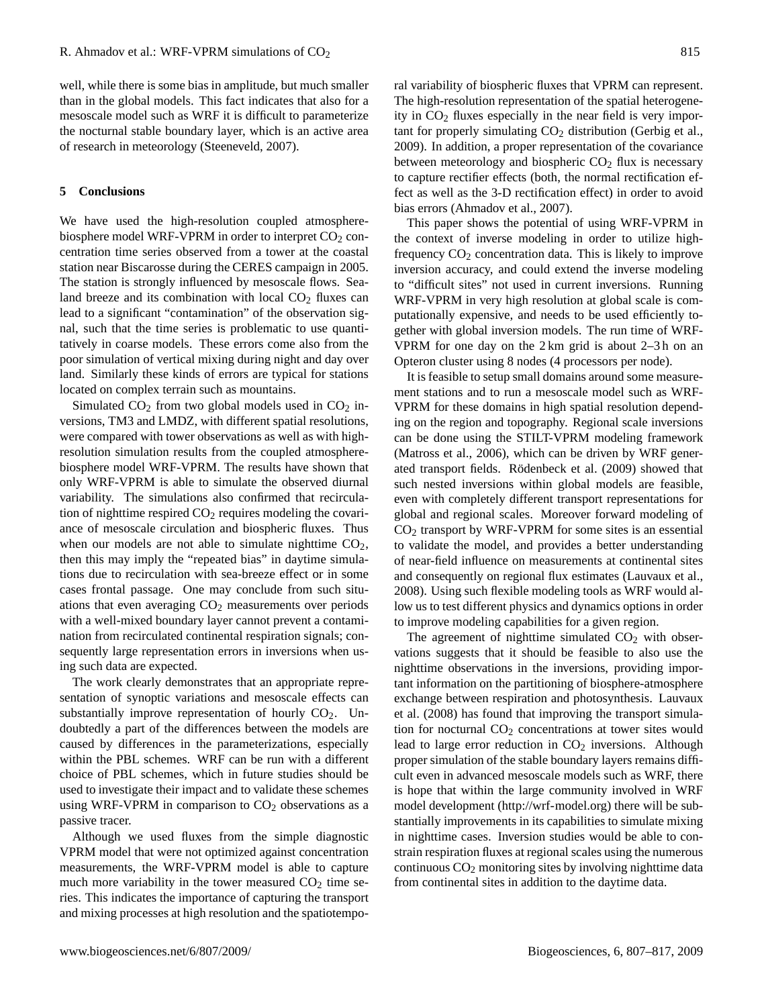well, while there is some bias in amplitude, but much smaller than in the global models. This fact indicates that also for a mesoscale model such as WRF it is difficult to parameterize the nocturnal stable boundary layer, which is an active area of research in meteorology (Steeneveld, 2007).

## **5 Conclusions**

We have used the high-resolution coupled atmospherebiosphere model WRF-VPRM in order to interpret  $CO<sub>2</sub>$  concentration time series observed from a tower at the coastal station near Biscarosse during the CERES campaign in 2005. The station is strongly influenced by mesoscale flows. Sealand breeze and its combination with local  $CO<sub>2</sub>$  fluxes can lead to a significant "contamination" of the observation signal, such that the time series is problematic to use quantitatively in coarse models. These errors come also from the poor simulation of vertical mixing during night and day over land. Similarly these kinds of errors are typical for stations located on complex terrain such as mountains.

Simulated  $CO<sub>2</sub>$  from two global models used in  $CO<sub>2</sub>$  inversions, TM3 and LMDZ, with different spatial resolutions, were compared with tower observations as well as with highresolution simulation results from the coupled atmospherebiosphere model WRF-VPRM. The results have shown that only WRF-VPRM is able to simulate the observed diurnal variability. The simulations also confirmed that recirculation of nighttime respired  $CO<sub>2</sub>$  requires modeling the covariance of mesoscale circulation and biospheric fluxes. Thus when our models are not able to simulate nighttime  $CO<sub>2</sub>$ , then this may imply the "repeated bias" in daytime simulations due to recirculation with sea-breeze effect or in some cases frontal passage. One may conclude from such situations that even averaging  $CO<sub>2</sub>$  measurements over periods with a well-mixed boundary layer cannot prevent a contamination from recirculated continental respiration signals; consequently large representation errors in inversions when using such data are expected.

The work clearly demonstrates that an appropriate representation of synoptic variations and mesoscale effects can substantially improve representation of hourly  $CO<sub>2</sub>$ . Undoubtedly a part of the differences between the models are caused by differences in the parameterizations, especially within the PBL schemes. WRF can be run with a different choice of PBL schemes, which in future studies should be used to investigate their impact and to validate these schemes using WRF-VPRM in comparison to  $CO<sub>2</sub>$  observations as a passive tracer.

Although we used fluxes from the simple diagnostic VPRM model that were not optimized against concentration measurements, the WRF-VPRM model is able to capture much more variability in the tower measured  $CO<sub>2</sub>$  time series. This indicates the importance of capturing the transport and mixing processes at high resolution and the spatiotemporal variability of biospheric fluxes that VPRM can represent. The high-resolution representation of the spatial heterogeneity in  $CO<sub>2</sub>$  fluxes especially in the near field is very important for properly simulating  $CO<sub>2</sub>$  distribution (Gerbig et al., 2009). In addition, a proper representation of the covariance between meteorology and biospheric  $CO<sub>2</sub>$  flux is necessary to capture rectifier effects (both, the normal rectification effect as well as the 3-D rectification effect) in order to avoid bias errors (Ahmadov et al., 2007).

This paper shows the potential of using WRF-VPRM in the context of inverse modeling in order to utilize highfrequency  $CO<sub>2</sub>$  concentration data. This is likely to improve inversion accuracy, and could extend the inverse modeling to "difficult sites" not used in current inversions. Running WRF-VPRM in very high resolution at global scale is computationally expensive, and needs to be used efficiently together with global inversion models. The run time of WRF-VPRM for one day on the 2 km grid is about 2–3 h on an Opteron cluster using 8 nodes (4 processors per node).

It is feasible to setup small domains around some measurement stations and to run a mesoscale model such as WRF-VPRM for these domains in high spatial resolution depending on the region and topography. Regional scale inversions can be done using the STILT-VPRM modeling framework (Matross et al., 2006), which can be driven by WRF generated transport fields. Rödenbeck et al. (2009) showed that such nested inversions within global models are feasible, even with completely different transport representations for global and regional scales. Moreover forward modeling of  $CO<sub>2</sub>$  transport by WRF-VPRM for some sites is an essential to validate the model, and provides a better understanding of near-field influence on measurements at continental sites and consequently on regional flux estimates (Lauvaux et al., 2008). Using such flexible modeling tools as WRF would allow us to test different physics and dynamics options in order to improve modeling capabilities for a given region.

The agreement of nighttime simulated  $CO<sub>2</sub>$  with observations suggests that it should be feasible to also use the nighttime observations in the inversions, providing important information on the partitioning of biosphere-atmosphere exchange between respiration and photosynthesis. Lauvaux et al. (2008) has found that improving the transport simulation for nocturnal CO<sub>2</sub> concentrations at tower sites would lead to large error reduction in  $CO<sub>2</sub>$  inversions. Although proper simulation of the stable boundary layers remains difficult even in advanced mesoscale models such as WRF, there is hope that within the large community involved in WRF model development [\(http://wrf-model.org\)](http://wrf-model.org) there will be substantially improvements in its capabilities to simulate mixing in nighttime cases. Inversion studies would be able to constrain respiration fluxes at regional scales using the numerous continuous  $CO<sub>2</sub>$  monitoring sites by involving nighttime data from continental sites in addition to the daytime data.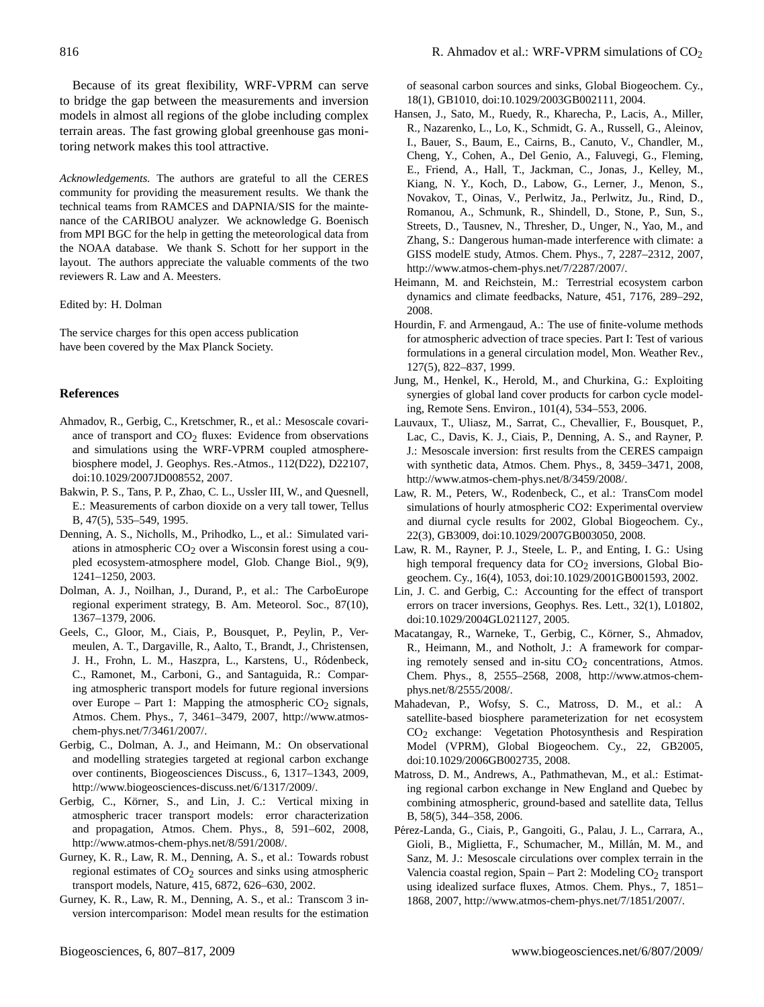Because of its great flexibility, WRF-VPRM can serve to bridge the gap between the measurements and inversion models in almost all regions of the globe including complex terrain areas. The fast growing global greenhouse gas monitoring network makes this tool attractive.

*Acknowledgements.* The authors are grateful to all the CERES community for providing the measurement results. We thank the technical teams from RAMCES and DAPNIA/SIS for the maintenance of the CARIBOU analyzer. We acknowledge G. Boenisch from MPI BGC for the help in getting the meteorological data from the NOAA database. We thank S. Schott for her support in the layout. The authors appreciate the valuable comments of the two reviewers R. Law and A. Meesters.

Edited by: H. Dolman

The service charges for this open access publication have been covered by the Max Planck Society.

## **References**

- Ahmadov, R., Gerbig, C., Kretschmer, R., et al.: Mesoscale covariance of transport and  $CO<sub>2</sub>$  fluxes: Evidence from observations and simulations using the WRF-VPRM coupled atmospherebiosphere model, J. Geophys. Res.-Atmos., 112(D22), D22107, doi:10.1029/2007JD008552, 2007.
- Bakwin, P. S., Tans, P. P., Zhao, C. L., Ussler III, W., and Quesnell, E.: Measurements of carbon dioxide on a very tall tower, Tellus B, 47(5), 535–549, 1995.
- Denning, A. S., Nicholls, M., Prihodko, L., et al.: Simulated variations in atmospheric  $CO<sub>2</sub>$  over a Wisconsin forest using a coupled ecosystem-atmosphere model, Glob. Change Biol., 9(9), 1241–1250, 2003.
- Dolman, A. J., Noilhan, J., Durand, P., et al.: The CarboEurope regional experiment strategy, B. Am. Meteorol. Soc., 87(10), 1367–1379, 2006.
- Geels, C., Gloor, M., Ciais, P., Bousquet, P., Peylin, P., Vermeulen, A. T., Dargaville, R., Aalto, T., Brandt, J., Christensen, J. H., Frohn, L. M., Haszpra, L., Karstens, U., Ródenbeck, C., Ramonet, M., Carboni, G., and Santaguida, R.: Comparing atmospheric transport models for future regional inversions over Europe – Part 1: Mapping the atmospheric  $CO<sub>2</sub>$  signals, Atmos. Chem. Phys., 7, 3461–3479, 2007, [http://www.atmos](http://www.atmos-chem-phys.net/7/3461/2007/)[chem-phys.net/7/3461/2007/.](http://www.atmos-chem-phys.net/7/3461/2007/)
- Gerbig, C., Dolman, A. J., and Heimann, M.: On observational and modelling strategies targeted at regional carbon exchange over continents, Biogeosciences Discuss., 6, 1317–1343, 2009, [http://www.biogeosciences-discuss.net/6/1317/2009/.](http://www.biogeosciences-discuss.net/6/1317/2009/)
- Gerbig, C., Körner, S., and Lin, J. C.: Vertical mixing in atmospheric tracer transport models: error characterization and propagation, Atmos. Chem. Phys., 8, 591–602, 2008, [http://www.atmos-chem-phys.net/8/591/2008/.](http://www.atmos-chem-phys.net/8/591/2008/)
- Gurney, K. R., Law, R. M., Denning, A. S., et al.: Towards robust regional estimates of  $CO<sub>2</sub>$  sources and sinks using atmospheric transport models, Nature, 415, 6872, 626–630, 2002.
- Gurney, K. R., Law, R. M., Denning, A. S., et al.: Transcom 3 inversion intercomparison: Model mean results for the estimation

of seasonal carbon sources and sinks, Global Biogeochem. Cy., 18(1), GB1010, doi:10.1029/2003GB002111, 2004.

- Hansen, J., Sato, M., Ruedy, R., Kharecha, P., Lacis, A., Miller, R., Nazarenko, L., Lo, K., Schmidt, G. A., Russell, G., Aleinov, I., Bauer, S., Baum, E., Cairns, B., Canuto, V., Chandler, M., Cheng, Y., Cohen, A., Del Genio, A., Faluvegi, G., Fleming, E., Friend, A., Hall, T., Jackman, C., Jonas, J., Kelley, M., Kiang, N. Y., Koch, D., Labow, G., Lerner, J., Menon, S., Novakov, T., Oinas, V., Perlwitz, Ja., Perlwitz, Ju., Rind, D., Romanou, A., Schmunk, R., Shindell, D., Stone, P., Sun, S., Streets, D., Tausnev, N., Thresher, D., Unger, N., Yao, M., and Zhang, S.: Dangerous human-made interference with climate: a GISS modelE study, Atmos. Chem. Phys., 7, 2287–2312, 2007, [http://www.atmos-chem-phys.net/7/2287/2007/.](http://www.atmos-chem-phys.net/7/2287/2007/)
- Heimann, M. and Reichstein, M.: Terrestrial ecosystem carbon dynamics and climate feedbacks, Nature, 451, 7176, 289–292, 2008.
- Hourdin, F. and Armengaud, A.: The use of finite-volume methods for atmospheric advection of trace species. Part I: Test of various formulations in a general circulation model, Mon. Weather Rev., 127(5), 822–837, 1999.
- Jung, M., Henkel, K., Herold, M., and Churkina, G.: Exploiting synergies of global land cover products for carbon cycle modeling, Remote Sens. Environ., 101(4), 534–553, 2006.
- Lauvaux, T., Uliasz, M., Sarrat, C., Chevallier, F., Bousquet, P., Lac, C., Davis, K. J., Ciais, P., Denning, A. S., and Rayner, P. J.: Mesoscale inversion: first results from the CERES campaign with synthetic data, Atmos. Chem. Phys., 8, 3459–3471, 2008, [http://www.atmos-chem-phys.net/8/3459/2008/.](http://www.atmos-chem-phys.net/8/3459/2008/)
- Law, R. M., Peters, W., Rodenbeck, C., et al.: TransCom model simulations of hourly atmospheric CO2: Experimental overview and diurnal cycle results for 2002, Global Biogeochem. Cy., 22(3), GB3009, doi:10.1029/2007GB003050, 2008.
- Law, R. M., Rayner, P. J., Steele, L. P., and Enting, I. G.: Using high temporal frequency data for  $CO<sub>2</sub>$  inversions, Global Biogeochem. Cy., 16(4), 1053, doi:10.1029/2001GB001593, 2002.
- Lin, J. C. and Gerbig, C.: Accounting for the effect of transport errors on tracer inversions, Geophys. Res. Lett., 32(1), L01802, doi:10.1029/2004GL021127, 2005.
- Macatangay, R., Warneke, T., Gerbig, C., Körner, S., Ahmadov, R., Heimann, M., and Notholt, J.: A framework for comparing remotely sensed and in-situ  $CO<sub>2</sub>$  concentrations, Atmos. Chem. Phys., 8, 2555–2568, 2008, [http://www.atmos-chem](http://www.atmos-chem-phys.net/8/2555/2008/)[phys.net/8/2555/2008/.](http://www.atmos-chem-phys.net/8/2555/2008/)
- Mahadevan, P., Wofsy, S. C., Matross, D. M., et al.: A satellite-based biosphere parameterization for net ecosystem CO2 exchange: Vegetation Photosynthesis and Respiration Model (VPRM), Global Biogeochem. Cy., 22, GB2005, doi:10.1029/2006GB002735, 2008.
- Matross, D. M., Andrews, A., Pathmathevan, M., et al.: Estimating regional carbon exchange in New England and Quebec by combining atmospheric, ground-based and satellite data, Tellus B, 58(5), 344–358, 2006.
- Perez-Landa, G., Ciais, P., Gangoiti, G., Palau, J. L., Carrara, A., ´ Gioli, B., Miglietta, F., Schumacher, M., Millán, M. M., and Sanz, M. J.: Mesoscale circulations over complex terrain in the Valencia coastal region, Spain – Part 2: Modeling  $CO<sub>2</sub>$  transport using idealized surface fluxes, Atmos. Chem. Phys., 7, 1851– 1868, 2007, [http://www.atmos-chem-phys.net/7/1851/2007/.](http://www.atmos-chem-phys.net/7/1851/2007/)